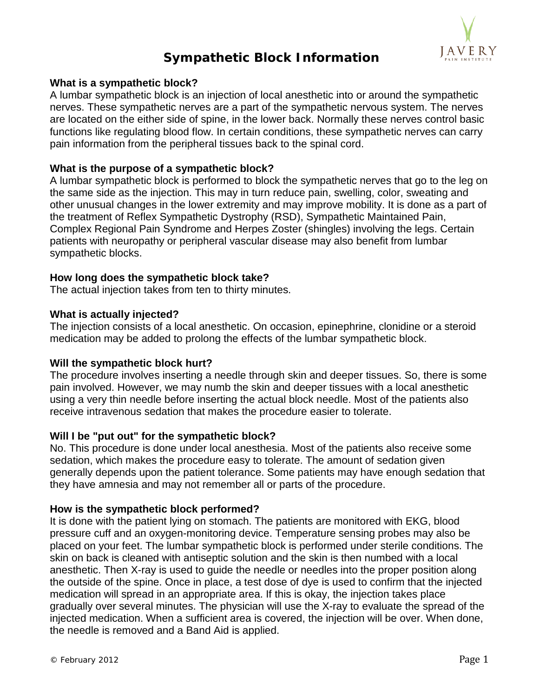

# **Sympathetic Block Information**

### **What is a sympathetic block?**

A lumbar sympathetic block is an injection of local anesthetic into or around the sympathetic nerves. These sympathetic nerves are a part of the sympathetic nervous system. The nerves are located on the either side of spine, in the lower back. Normally these nerves control basic functions like regulating blood flow. In certain conditions, these sympathetic nerves can carry pain information from the peripheral tissues back to the spinal cord.

# **What is the purpose of a sympathetic block?**

A lumbar sympathetic block is performed to block the sympathetic nerves that go to the leg on the same side as the injection. This may in turn reduce pain, swelling, color, sweating and other unusual changes in the lower extremity and may improve mobility. It is done as a part of the treatment of Reflex Sympathetic Dystrophy (RSD), Sympathetic Maintained Pain, Complex Regional Pain Syndrome and Herpes Zoster (shingles) involving the legs. Certain patients with neuropathy or peripheral vascular disease may also benefit from lumbar sympathetic blocks.

# **How long does the sympathetic block take?**

The actual injection takes from ten to thirty minutes.

# **What is actually injected?**

The injection consists of a local anesthetic. On occasion, epinephrine, clonidine or a steroid medication may be added to prolong the effects of the lumbar sympathetic block.

#### **Will the sympathetic block hurt?**

The procedure involves inserting a needle through skin and deeper tissues. So, there is some pain involved. However, we may numb the skin and deeper tissues with a local anesthetic using a very thin needle before inserting the actual block needle. Most of the patients also receive intravenous sedation that makes the procedure easier to tolerate.

### **Will I be "put out" for the sympathetic block?**

No. This procedure is done under local anesthesia. Most of the patients also receive some sedation, which makes the procedure easy to tolerate. The amount of sedation given generally depends upon the patient tolerance. Some patients may have enough sedation that they have amnesia and may not remember all or parts of the procedure.

#### **How is the sympathetic block performed?**

It is done with the patient lying on stomach. The patients are monitored with EKG, blood pressure cuff and an oxygen-monitoring device. Temperature sensing probes may also be placed on your feet. The lumbar sympathetic block is performed under sterile conditions. The skin on back is cleaned with antiseptic solution and the skin is then numbed with a local anesthetic. Then X-ray is used to guide the needle or needles into the proper position along the outside of the spine. Once in place, a test dose of dye is used to confirm that the injected medication will spread in an appropriate area. If this is okay, the injection takes place gradually over several minutes. The physician will use the X-ray to evaluate the spread of the injected medication. When a sufficient area is covered, the injection will be over. When done, the needle is removed and a Band Aid is applied.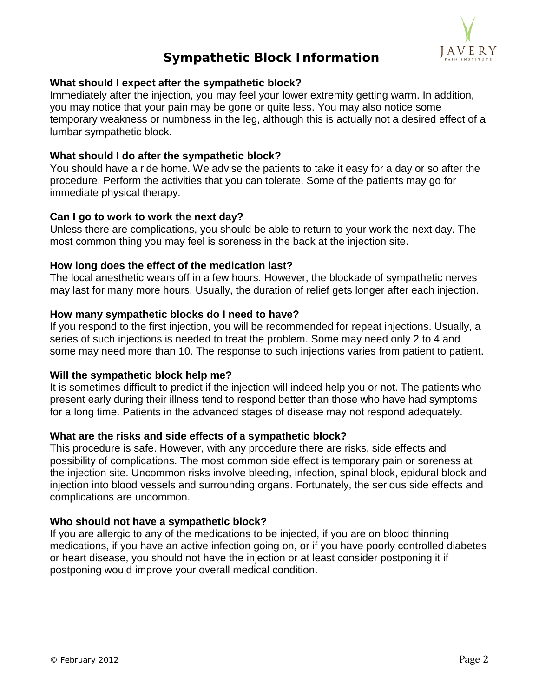

# **Sympathetic Block Information**

# **What should I expect after the sympathetic block?**

Immediately after the injection, you may feel your lower extremity getting warm. In addition, you may notice that your pain may be gone or quite less. You may also notice some temporary weakness or numbness in the leg, although this is actually not a desired effect of a lumbar sympathetic block.

# **What should I do after the sympathetic block?**

You should have a ride home. We advise the patients to take it easy for a day or so after the procedure. Perform the activities that you can tolerate. Some of the patients may go for immediate physical therapy.

# **Can I go to work to work the next day?**

Unless there are complications, you should be able to return to your work the next day. The most common thing you may feel is soreness in the back at the injection site.

# **How long does the effect of the medication last?**

The local anesthetic wears off in a few hours. However, the blockade of sympathetic nerves may last for many more hours. Usually, the duration of relief gets longer after each injection.

#### **How many sympathetic blocks do I need to have?**

If you respond to the first injection, you will be recommended for repeat injections. Usually, a series of such injections is needed to treat the problem. Some may need only 2 to 4 and some may need more than 10. The response to such injections varies from patient to patient.

#### **Will the sympathetic block help me?**

It is sometimes difficult to predict if the injection will indeed help you or not. The patients who present early during their illness tend to respond better than those who have had symptoms for a long time. Patients in the advanced stages of disease may not respond adequately.

#### **What are the risks and side effects of a sympathetic block?**

This procedure is safe. However, with any procedure there are risks, side effects and possibility of complications. The most common side effect is temporary pain or soreness at the injection site. Uncommon risks involve bleeding, infection, spinal block, epidural block and injection into blood vessels and surrounding organs. Fortunately, the serious side effects and complications are uncommon.

#### **Who should not have a sympathetic block?**

If you are allergic to any of the medications to be injected, if you are on blood thinning medications, if you have an active infection going on, or if you have poorly controlled diabetes or heart disease, you should not have the injection or at least consider postponing it if postponing would improve your overall medical condition.